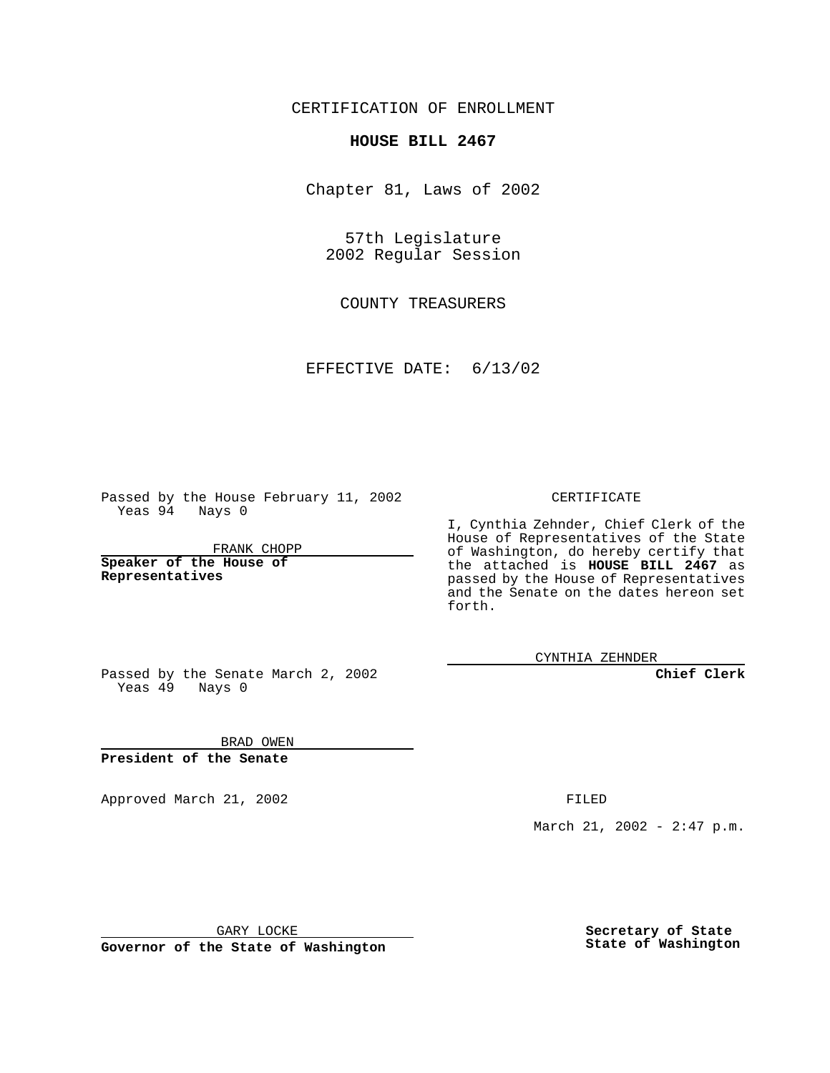CERTIFICATION OF ENROLLMENT

## **HOUSE BILL 2467**

Chapter 81, Laws of 2002

57th Legislature 2002 Regular Session

COUNTY TREASURERS

EFFECTIVE DATE: 6/13/02

Passed by the House February 11, 2002 Yeas 94 Nays 0

FRANK CHOPP

**Speaker of the House of Representatives**

## CERTIFICATE

I, Cynthia Zehnder, Chief Clerk of the House of Representatives of the State of Washington, do hereby certify that the attached is **HOUSE BILL 2467** as passed by the House of Representatives and the Senate on the dates hereon set forth.

CYNTHIA ZEHNDER

**Chief Clerk**

Passed by the Senate March 2, 2002 Yeas  $49$  Nays 0

BRAD OWEN **President of the Senate**

Approved March 21, 2002 **FILED** 

March 21, 2002 - 2:47 p.m.

GARY LOCKE

**Governor of the State of Washington**

**Secretary of State State of Washington**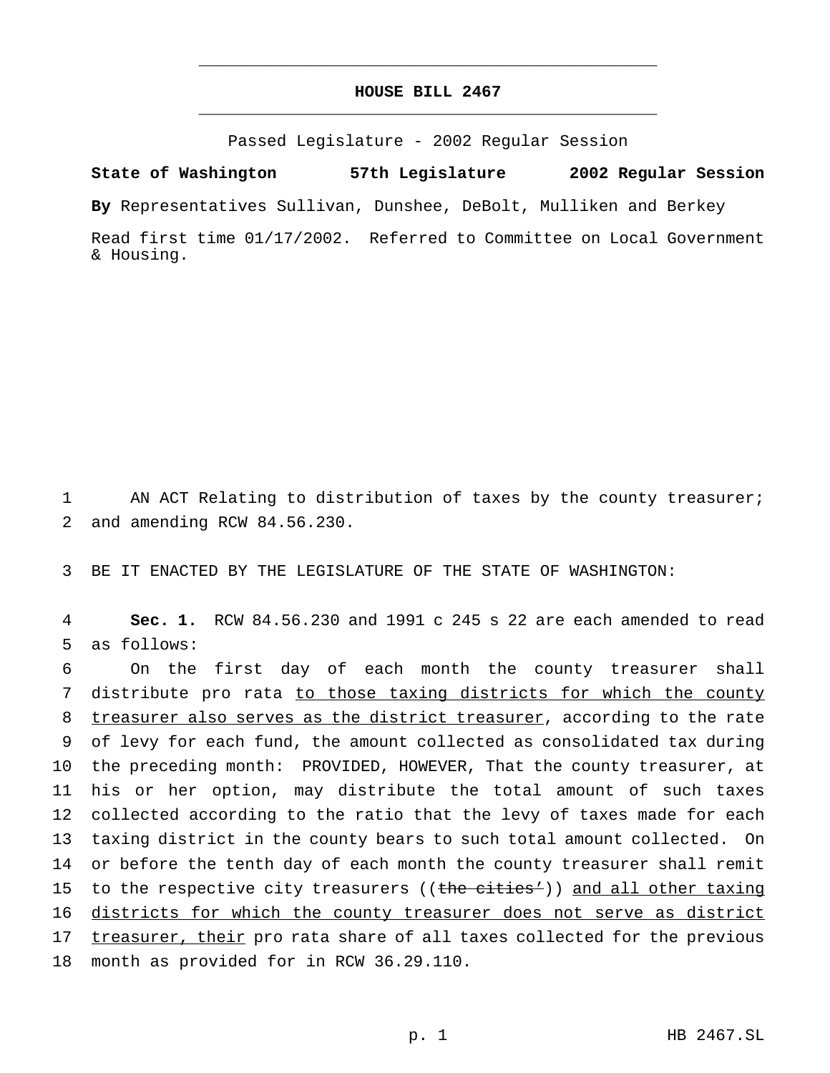## **HOUSE BILL 2467** \_\_\_\_\_\_\_\_\_\_\_\_\_\_\_\_\_\_\_\_\_\_\_\_\_\_\_\_\_\_\_\_\_\_\_\_\_\_\_\_\_\_\_\_\_\_\_

\_\_\_\_\_\_\_\_\_\_\_\_\_\_\_\_\_\_\_\_\_\_\_\_\_\_\_\_\_\_\_\_\_\_\_\_\_\_\_\_\_\_\_\_\_\_\_

Passed Legislature - 2002 Regular Session

**State of Washington 57th Legislature 2002 Regular Session**

**By** Representatives Sullivan, Dunshee, DeBolt, Mulliken and Berkey

Read first time 01/17/2002. Referred to Committee on Local Government & Housing.

1 AN ACT Relating to distribution of taxes by the county treasurer; 2 and amending RCW 84.56.230.

3 BE IT ENACTED BY THE LEGISLATURE OF THE STATE OF WASHINGTON:

4 **Sec. 1.** RCW 84.56.230 and 1991 c 245 s 22 are each amended to read 5 as follows:

 On the first day of each month the county treasurer shall 7 distribute pro rata to those taxing districts for which the county treasurer also serves as the district treasurer, according to the rate of levy for each fund, the amount collected as consolidated tax during the preceding month: PROVIDED, HOWEVER, That the county treasurer, at his or her option, may distribute the total amount of such taxes collected according to the ratio that the levy of taxes made for each taxing district in the county bears to such total amount collected. On or before the tenth day of each month the county treasurer shall remit 15 to the respective city treasurers ((the cities')) and all other taxing districts for which the county treasurer does not serve as district 17 treasurer, their pro rata share of all taxes collected for the previous month as provided for in RCW 36.29.110.